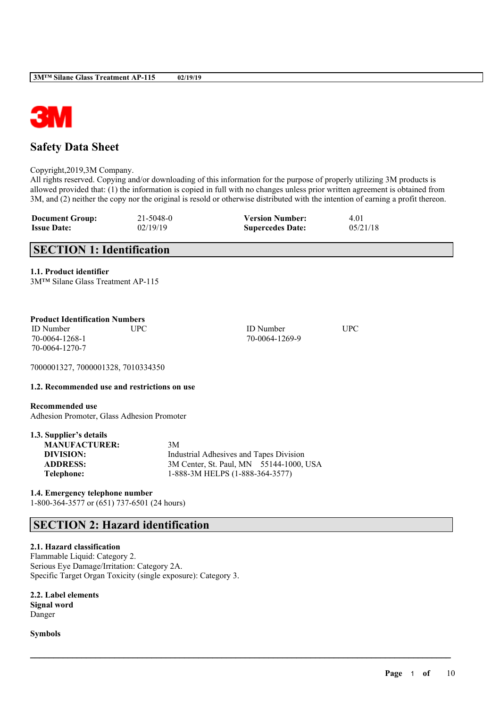

# **Safety Data Sheet**

Copyright,2019,3M Company.

All rights reserved. Copying and/or downloading of this information for the purpose of properly utilizing 3M products is allowed provided that: (1) the information is copied in full with no changes unless prior written agreement is obtained from 3M, and (2) neither the copy nor the original is resold or otherwise distributed with the intention of earning a profit thereon.

 $\mathcal{L}_\mathcal{L} = \mathcal{L}_\mathcal{L} = \mathcal{L}_\mathcal{L} = \mathcal{L}_\mathcal{L} = \mathcal{L}_\mathcal{L} = \mathcal{L}_\mathcal{L} = \mathcal{L}_\mathcal{L} = \mathcal{L}_\mathcal{L} = \mathcal{L}_\mathcal{L} = \mathcal{L}_\mathcal{L} = \mathcal{L}_\mathcal{L} = \mathcal{L}_\mathcal{L} = \mathcal{L}_\mathcal{L} = \mathcal{L}_\mathcal{L} = \mathcal{L}_\mathcal{L} = \mathcal{L}_\mathcal{L} = \mathcal{L}_\mathcal{L}$ 

| <b>Document Group:</b> | 21-5048-0 | <b>Version Number:</b>  | 4.01     |
|------------------------|-----------|-------------------------|----------|
| <b>Issue Date:</b>     | 02/19/19  | <b>Supercedes Date:</b> | 05/21/18 |

# **SECTION 1: Identification**

## **1.1. Product identifier**

|  |  |  | 3M™ Silane Glass Treatment AP-115 |
|--|--|--|-----------------------------------|
|--|--|--|-----------------------------------|

## **Product Identification Numbers**

ID Number UPC ID Number UPC 70-0064-1268-1 70-0064-1269-9 70-0064-1270-7

7000001327, 7000001328, 7010334350

## **1.2. Recommended use and restrictions on use**

**Recommended use** Adhesion Promoter, Glass Adhesion Promoter

|  |  |  |  | 1.3. Supplier's details |
|--|--|--|--|-------------------------|
|--|--|--|--|-------------------------|

| <b>MANUFACTURER:</b> | 3M                                      |
|----------------------|-----------------------------------------|
| DIVISION:            | Industrial Adhesives and Tapes Division |
| <b>ADDRESS:</b>      | 3M Center, St. Paul, MN 55144-1000, USA |
| Telephone:           | 1-888-3M HELPS (1-888-364-3577)         |
|                      |                                         |

# **1.4. Emergency telephone number**

1-800-364-3577 or (651) 737-6501 (24 hours)

# **SECTION 2: Hazard identification**

## **2.1. Hazard classification**

Flammable Liquid: Category 2. Serious Eye Damage/Irritation: Category 2A. Specific Target Organ Toxicity (single exposure): Category 3.

**2.2. Label elements Signal word**

Danger

**Symbols**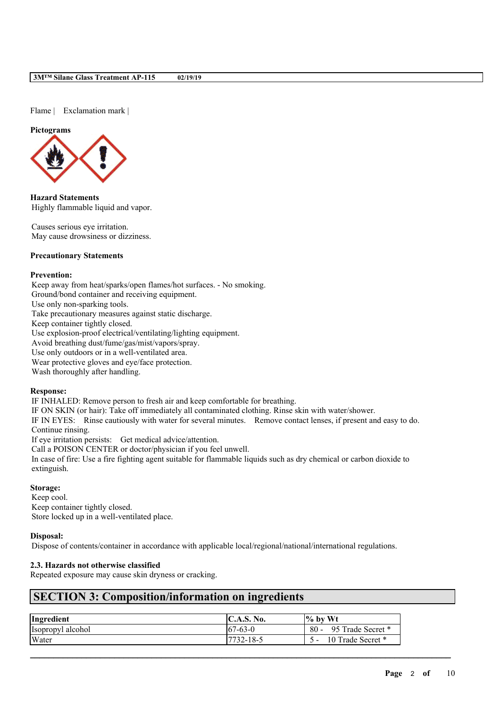Flame | Exclamation mark |

#### **Pictograms**



**Hazard Statements** Highly flammable liquid and vapor.

Causes serious eye irritation. May cause drowsiness or dizziness.

## **Precautionary Statements**

#### **Prevention:**

Keep away from heat/sparks/open flames/hot surfaces. - No smoking. Ground/bond container and receiving equipment. Use only non-sparking tools. Take precautionary measures against static discharge. Keep container tightly closed. Use explosion-proof electrical/ventilating/lighting equipment. Avoid breathing dust/fume/gas/mist/vapors/spray. Use only outdoors or in a well-ventilated area.

Wear protective gloves and eye/face protection.

Wash thoroughly after handling.

#### **Response:**

IF INHALED: Remove person to fresh air and keep comfortable for breathing.

IF ON SKIN (or hair): Take off immediately all contaminated clothing. Rinse skin with water/shower.

IF IN EYES: Rinse cautiously with water for several minutes. Remove contact lenses, if present and easy to do. Continue rinsing.

If eye irritation persists: Get medical advice/attention.

Call a POISON CENTER or doctor/physician if you feel unwell.

In case of fire: Use a fire fighting agent suitable for flammable liquids such as dry chemical or carbon dioxide to extinguish.

## **Storage:**

Keep cool. Keep container tightly closed. Store locked up in a well-ventilated place.

## **Disposal:**

Dispose of contents/container in accordance with applicable local/regional/national/international regulations.

## **2.3. Hazards not otherwise classified**

Repeated exposure may cause skin dryness or cracking.

# **SECTION 3: Composition/information on ingredients**

| Ingredient        | <b>IC.A.S. No.</b> | $\frac{1}{6}$ by Wt         |
|-------------------|--------------------|-----------------------------|
| Isopropyl alcohol | $67-63-0$          | $80 -$<br>95 Trade Secret * |
| Water             | 7732-18-5          | 10 Trade Secret *           |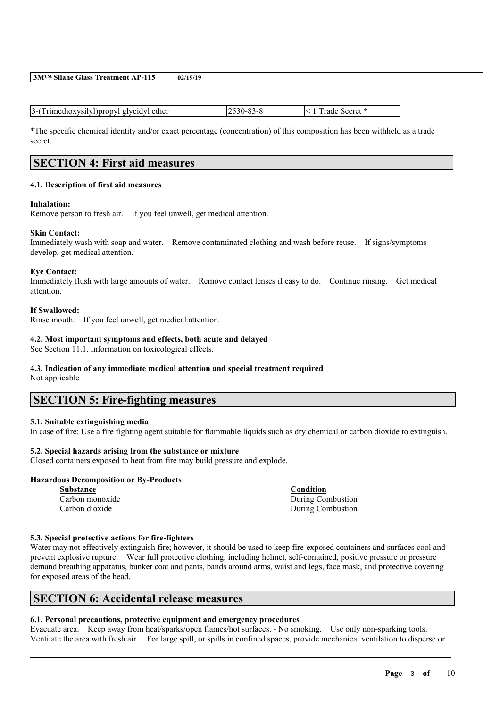**3M™ Silane Glass Treatment AP-115 02/19/19**

| . givcidyl ether<br>Fimethoxysilyl<br>Tinrony L<br>1-1<br>. . |  | secret |  |
|---------------------------------------------------------------|--|--------|--|
|---------------------------------------------------------------|--|--------|--|

\*The specific chemical identity and/or exact percentage (concentration) of this composition has been withheld as a trade secret.

# **SECTION 4: First aid measures**

#### **4.1. Description of first aid measures**

#### **Inhalation:**

Remove person to fresh air. If you feel unwell, get medical attention.

#### **Skin Contact:**

Immediately wash with soap and water. Remove contaminated clothing and wash before reuse. If signs/symptoms develop, get medical attention.

#### **Eye Contact:**

Immediately flush with large amounts of water. Remove contact lenses if easy to do. Continue rinsing. Get medical attention.

## **If Swallowed:**

Rinse mouth. If you feel unwell, get medical attention.

## **4.2. Most important symptoms and effects, both acute and delayed**

See Section 11.1. Information on toxicological effects.

## **4.3. Indication of any immediate medical attention and special treatment required**

Not applicable

# **SECTION 5: Fire-fighting measures**

## **5.1. Suitable extinguishing media**

In case of fire: Use a fire fighting agent suitable for flammable liquids such as dry chemical or carbon dioxide to extinguish.

## **5.2. Special hazards arising from the substance or mixture**

Closed containers exposed to heat from fire may build pressure and explode.

## **Hazardous Decomposition or By-Products**

**Substance Condition**

Carbon monoxide During Combustion Carbon dioxide During Combustion

## **5.3. Special protective actions for fire-fighters**

Water may not effectively extinguish fire; however, it should be used to keep fire-exposed containers and surfaces cool and prevent explosive rupture. Wear full protective clothing, including helmet, self-contained, positive pressure or pressure demand breathing apparatus, bunker coat and pants, bands around arms, waist and legs, face mask, and protective covering for exposed areas of the head.

## **SECTION 6: Accidental release measures**

## **6.1. Personal precautions, protective equipment and emergency procedures**

Evacuate area. Keep away from heat/sparks/open flames/hot surfaces. - No smoking. Use only non-sparking tools. Ventilate the area with fresh air. For large spill, or spills in confined spaces, provide mechanical ventilation to disperse or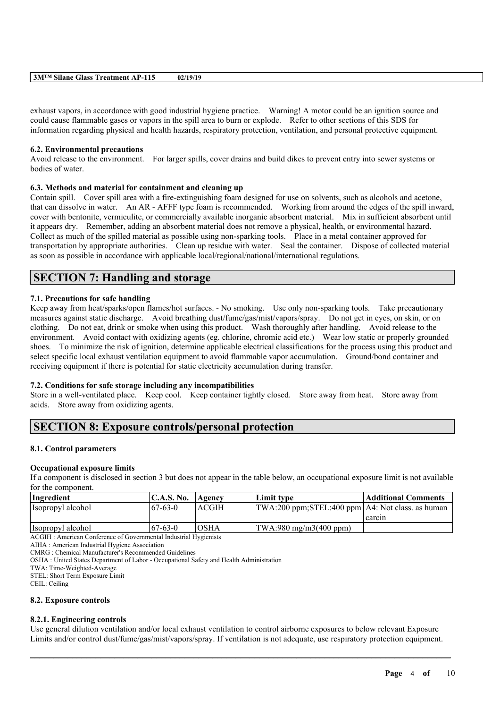| <b>Glass</b><br>$3M^{TM}$<br>$\sim$<br>Silane<br><b>Treatment</b><br>. .<br>៶<br>.<br>$\overline{1}$ | 02/19/19 |
|------------------------------------------------------------------------------------------------------|----------|
|                                                                                                      |          |

exhaust vapors, in accordance with good industrial hygiene practice. Warning! A motor could be an ignition source and could cause flammable gases or vapors in the spill area to burn or explode. Refer to other sections of this SDS for information regarding physical and health hazards, respiratory protection, ventilation, and personal protective equipment.

## **6.2. Environmental precautions**

Avoid release to the environment. For larger spills, cover drains and build dikes to prevent entry into sewer systems or bodies of water.

## **6.3. Methods and material for containment and cleaning up**

Contain spill. Cover spill area with a fire-extinguishing foam designed for use on solvents, such as alcohols and acetone, that can dissolve in water. An AR - AFFF type foam is recommended. Working from around the edges of the spill inward, cover with bentonite, vermiculite, or commercially available inorganic absorbent material. Mix in sufficient absorbent until it appears dry. Remember, adding an absorbent material does not remove a physical, health, or environmental hazard. Collect as much of the spilled material as possible using non-sparking tools. Place in a metal container approved for transportation by appropriate authorities. Clean up residue with water. Seal the container. Dispose of collected material as soon as possible in accordance with applicable local/regional/national/international regulations.

# **SECTION 7: Handling and storage**

## **7.1. Precautions for safe handling**

Keep away from heat/sparks/open flames/hot surfaces. - No smoking. Use only non-sparking tools. Take precautionary measures against static discharge. Avoid breathing dust/fume/gas/mist/vapors/spray. Do not get in eyes, on skin, or on clothing. Do not eat, drink or smoke when using this product. Wash thoroughly after handling. Avoid release to the environment. Avoid contact with oxidizing agents (eg. chlorine, chromic acid etc.) Wear low static or properly grounded shoes. To minimize the risk of ignition, determine applicable electrical classifications for the process using this product and select specific local exhaust ventilation equipment to avoid flammable vapor accumulation. Ground/bond container and receiving equipment if there is potential for static electricity accumulation during transfer.

## **7.2. Conditions for safe storage including any incompatibilities**

Store in a well-ventilated place. Keep cool. Keep container tightly closed. Store away from heat. Store away from acids. Store away from oxidizing agents.

# **SECTION 8: Exposure controls/personal protection**

## **8.1. Control parameters**

## **Occupational exposure limits**

If a component is disclosed in section 3 but does not appear in the table below, an occupational exposure limit is not available for the component.

| Ingredient                            | C.A.S. No.      | Agency | Limit tvpe                                         | <b>Additional Comments</b> |
|---------------------------------------|-----------------|--------|----------------------------------------------------|----------------------------|
| Isopropyl alcohol                     | $167 - 63 - 0$  | ACGIH  | TWA:200 ppm;STEL:400 ppm   A4: Not class. as human |                            |
|                                       |                 |        |                                                    | carcin                     |
| Isopropyl alcohol                     | $167 - 63 - 0$  | 'OSHA  | $ TWA:980 \text{ mg/m}3(400 \text{ ppm}) $         |                            |
| $\sim$<br>$\sqrt{2}$<br>$\sim$ $\sim$ | $1.7.1$ $1.7.1$ |        |                                                    |                            |

ACGIH : American Conference of Governmental Industrial Hygienists

AIHA : American Industrial Hygiene Association

CMRG : Chemical Manufacturer's Recommended Guidelines

OSHA : United States Department of Labor - Occupational Safety and Health Administration

TWA: Time-Weighted-Average

STEL: Short Term Exposure Limit

CEIL: Ceiling

## **8.2. Exposure controls**

## **8.2.1. Engineering controls**

Use general dilution ventilation and/or local exhaust ventilation to control airborne exposures to below relevant Exposure Limits and/or control dust/fume/gas/mist/vapors/spray. If ventilation is not adequate, use respiratory protection equipment.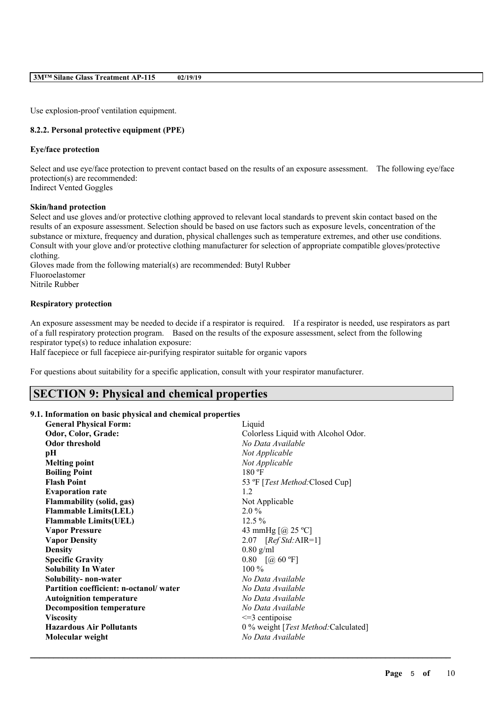Use explosion-proof ventilation equipment.

## **8.2.2. Personal protective equipment (PPE)**

#### **Eye/face protection**

Select and use eye/face protection to prevent contact based on the results of an exposure assessment. The following eye/face protection(s) are recommended: Indirect Vented Goggles

#### **Skin/hand protection**

Select and use gloves and/or protective clothing approved to relevant local standards to prevent skin contact based on the results of an exposure assessment. Selection should be based on use factors such as exposure levels, concentration of the substance or mixture, frequency and duration, physical challenges such as temperature extremes, and other use conditions. Consult with your glove and/or protective clothing manufacturer for selection of appropriate compatible gloves/protective clothing.

Gloves made from the following material(s) are recommended: Butyl Rubber Fluoroelastomer Nitrile Rubber

#### **Respiratory protection**

An exposure assessment may be needed to decide if a respirator is required. If a respirator is needed, use respirators as part of a full respiratory protection program. Based on the results of the exposure assessment, select from the following respirator type(s) to reduce inhalation exposure:

Half facepiece or full facepiece air-purifying respirator suitable for organic vapors

For questions about suitability for a specific application, consult with your respirator manufacturer.

# **SECTION 9: Physical and chemical properties**

#### **9.1. Information on basic physical and chemical properties**

| <b>General Physical Form:</b>                | Liquid                                  |
|----------------------------------------------|-----------------------------------------|
| Odor, Color, Grade:                          | Colorless Liquid with Alcohol Odor.     |
| <b>Odor threshold</b>                        | No Data Available                       |
| pН                                           | Not Applicable                          |
| <b>Melting point</b>                         | Not Applicable                          |
| <b>Boiling Point</b>                         | $180 \text{ °F}$                        |
| <b>Flash Point</b>                           | 53 °F [ <i>Test Method</i> :Closed Cup] |
| <b>Evaporation rate</b>                      | 1.2                                     |
| <b>Flammability (solid, gas)</b>             | Not Applicable                          |
| <b>Flammable Limits(LEL)</b>                 | $2.0\%$                                 |
| <b>Flammable Limits(UEL)</b>                 | $12.5\%$                                |
| <b>Vapor Pressure</b>                        | 43 mmHg $[@]$ 25 °C]                    |
| <b>Vapor Density</b>                         | 2.07 $[RefStd:AIR=1]$                   |
| <b>Density</b>                               | $0.80$ g/ml                             |
| $0.80$ $[@60 °F]$<br><b>Specific Gravity</b> |                                         |
| <b>Solubility In Water</b>                   | $100\%$                                 |
| Solubility- non-water                        | No Data Available                       |
| Partition coefficient: n-octanol/water       | No Data Available                       |
| <b>Autoignition temperature</b>              | No Data Available                       |
| <b>Decomposition temperature</b>             | No Data Available                       |
| <b>Viscosity</b>                             | $\leq$ 3 centipoise                     |
| <b>Hazardous Air Pollutants</b>              | 0 % weight [Test Method: Calculated]    |
| Molecular weight                             | No Data Available                       |
|                                              |                                         |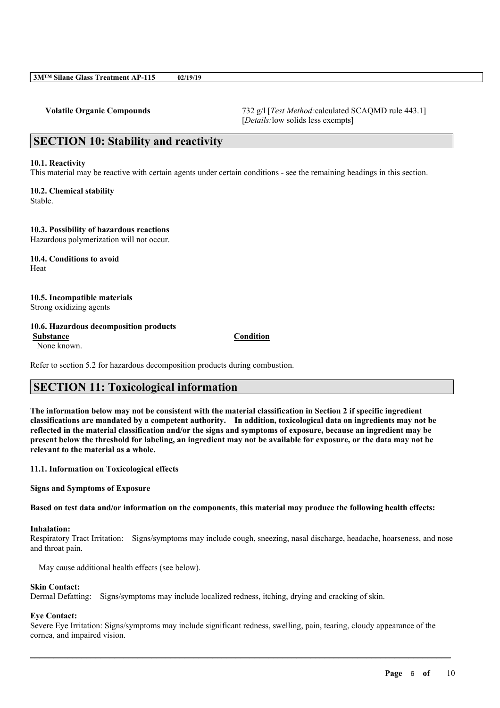**Volatile Organic Compounds** 732 g/l [*Test Method:*calculated SCAQMD rule 443.1] [*Details:*low solids less exempts]

# **SECTION 10: Stability and reactivity**

#### **10.1. Reactivity**

This material may be reactive with certain agents under certain conditions - see the remaining headings in this section.

**10.2. Chemical stability** Stable.

**10.3. Possibility of hazardous reactions**

Hazardous polymerization will not occur.

**10.4. Conditions to avoid** Heat

## **10.5. Incompatible materials**

Strong oxidizing agents

## **10.6. Hazardous decomposition products**

**Substance Condition** None known.

Refer to section 5.2 for hazardous decomposition products during combustion.

# **SECTION 11: Toxicological information**

The information below may not be consistent with the material classification in Section 2 if specific ingredient **classifications are mandated by a competent authority. In addition, toxicological data on ingredients may not be** reflected in the material classification and/or the signs and symptoms of exposure, because an ingredient may be present below the threshold for labeling, an ingredient may not be available for exposure, or the data may not be **relevant to the material as a whole.**

**11.1. Information on Toxicological effects**

**Signs and Symptoms of Exposure**

Based on test data and/or information on the components, this material may produce the following health effects:

#### **Inhalation:**

Respiratory Tract Irritation: Signs/symptoms may include cough, sneezing, nasal discharge, headache, hoarseness, and nose and throat pain.

May cause additional health effects (see below).

#### **Skin Contact:**

Dermal Defatting: Signs/symptoms may include localized redness, itching, drying and cracking of skin.

## **Eye Contact:**

Severe Eye Irritation: Signs/symptoms may include significant redness, swelling, pain, tearing, cloudy appearance of the cornea, and impaired vision.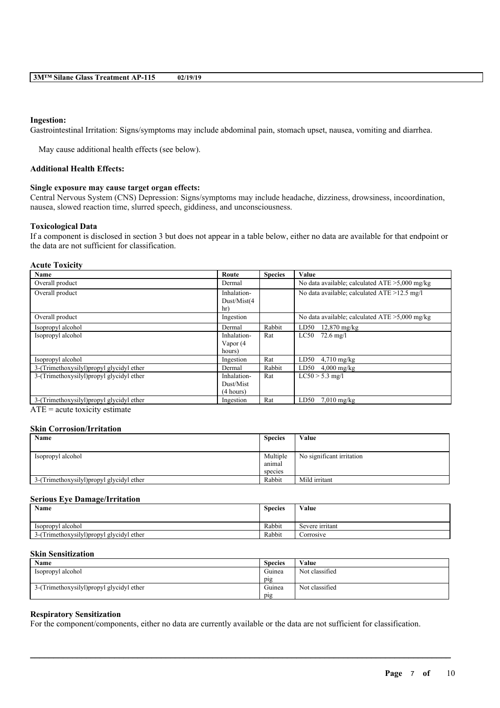#### **Ingestion:**

Gastrointestinal Irritation: Signs/symptoms may include abdominal pain, stomach upset, nausea, vomiting and diarrhea.

May cause additional health effects (see below).

#### **Additional Health Effects:**

#### **Single exposure may cause target organ effects:**

Central Nervous System (CNS) Depression: Signs/symptoms may include headache, dizziness, drowsiness, incoordination, nausea, slowed reaction time, slurred speech, giddiness, and unconsciousness.

#### **Toxicological Data**

If a component is disclosed in section 3 but does not appear in a table below, either no data are available for that endpoint or the data are not sufficient for classification.

#### **Acute Toxicity**

| Name                                                            | Route                                 | <b>Species</b> | Value                                             |
|-----------------------------------------------------------------|---------------------------------------|----------------|---------------------------------------------------|
| Overall product                                                 | Dermal                                |                | No data available; calculated $ATE > 5,000$ mg/kg |
| Overall product                                                 | Inhalation-<br>Dust/Mist(4<br>hr)     |                | No data available; calculated $ATE > 12.5$ mg/l   |
| Overall product                                                 | Ingestion                             |                | No data available; calculated $ATE > 5,000$ mg/kg |
| Isopropyl alcohol                                               | Dermal                                | Rabbit         | $12,870$ mg/kg<br>LD50                            |
| Isopropyl alcohol                                               | Inhalation-<br>Vapor (4<br>hours)     | Rat            | LC50<br>$72.6 \text{ mg/l}$                       |
| Isopropyl alcohol                                               | Ingestion                             | Rat            | LD50<br>$4,710$ mg/kg                             |
| 3-(Trimethoxysilyl) propyl glycidyl ether                       | Dermal                                | Rabbit         | LD50<br>$4,000$ mg/kg                             |
| 3-(Trimethoxysilyl) propyl glycidyl ether                       | Inhalation-<br>Dust/Mist<br>(4 hours) | Rat            | $LC50 > 5.3$ mg/l                                 |
| 3-(Trimethoxysilyl)propyl glycidyl ether<br>and the contract of | Ingestion                             | Rat            | LD50<br>$7.010$ mg/kg                             |

 $ATE = acute$  toxicity estimate

#### **Skin Corrosion/Irritation**

| Name                                      | <b>Species</b> | Value                     |
|-------------------------------------------|----------------|---------------------------|
|                                           |                |                           |
| Isopropyl alcohol                         | Multiple       | No significant irritation |
|                                           | anımal         |                           |
|                                           | species        |                           |
| 3-(Trimethoxysilyl) propyl glycidyl ether | Rabbit         | Mild irritant             |

#### **Serious Eye Damage/Irritation**

| <b>Species</b> | Value           |
|----------------|-----------------|
|                |                 |
| Rabbit         | Severe irritant |
| Rabbit         | Corrosive       |
|                |                 |

#### **Skin Sensitization**

| <b>Name</b>                              | <b>Species</b> | Value          |
|------------------------------------------|----------------|----------------|
| Isopropyl alcohol                        | Guinea         | Not classified |
|                                          | pig            |                |
| 3-(Trimethoxysilyl)propyl glycidyl ether | Guinea         | Not classified |
|                                          | pig            |                |

 $\mathcal{L}_\mathcal{L} = \mathcal{L}_\mathcal{L} = \mathcal{L}_\mathcal{L} = \mathcal{L}_\mathcal{L} = \mathcal{L}_\mathcal{L} = \mathcal{L}_\mathcal{L} = \mathcal{L}_\mathcal{L} = \mathcal{L}_\mathcal{L} = \mathcal{L}_\mathcal{L} = \mathcal{L}_\mathcal{L} = \mathcal{L}_\mathcal{L} = \mathcal{L}_\mathcal{L} = \mathcal{L}_\mathcal{L} = \mathcal{L}_\mathcal{L} = \mathcal{L}_\mathcal{L} = \mathcal{L}_\mathcal{L} = \mathcal{L}_\mathcal{L}$ 

#### **Respiratory Sensitization**

For the component/components, either no data are currently available or the data are not sufficient for classification.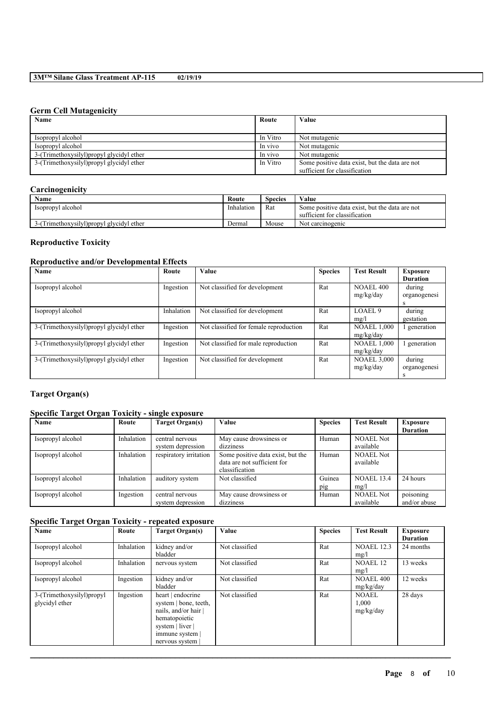## **Germ Cell Mutagenicity**

| Name                                      | Route    | Value                                          |
|-------------------------------------------|----------|------------------------------------------------|
|                                           |          |                                                |
| Isopropyl alcohol                         | In Vitro | Not mutagenic                                  |
| Isopropyl alcohol                         | In vivo  | Not mutagenic                                  |
| 3-(Trimethoxysilyl) propyl glycidyl ether | In vivo  | Not mutagenic                                  |
| 3-(Trimethoxysilyl) propyl glycidyl ether | In Vitro | Some positive data exist, but the data are not |
|                                           |          | sufficient for classification                  |

## **Carcinogenicity**

| <b>Name</b>                             | Route      | <b>Species</b> | Value                                          |
|-----------------------------------------|------------|----------------|------------------------------------------------|
| Isopropyl alcohol                       | Inhalation | Rat            | Some positive data exist, but the data are not |
|                                         |            |                | sufficient for classification                  |
| (Trimethoxysilyl) propyl glycidyl ether | Dermal     | Mouse          | Not carcinogenic                               |

## **Reproductive Toxicity**

## **Reproductive and/or Developmental Effects**

| <b>Name</b>                               | Route      | Value                                  | <b>Species</b> | <b>Test Result</b> | <b>Exposure</b> |
|-------------------------------------------|------------|----------------------------------------|----------------|--------------------|-----------------|
|                                           |            |                                        |                |                    | <b>Duration</b> |
| Isopropyl alcohol                         | Ingestion  | Not classified for development         | Rat            | <b>NOAEL 400</b>   | during          |
|                                           |            |                                        |                | mg/kg/day          | organogenesi    |
|                                           |            |                                        |                |                    | s               |
| Isopropyl alcohol                         | Inhalation | Not classified for development         | Rat            | LOAEL <sub>9</sub> | during          |
|                                           |            |                                        |                | mg/l               | gestation       |
| 3-(Trimethoxysilyl) propyl glycidyl ether | Ingestion  | Not classified for female reproduction | Rat            | <b>NOAEL 1,000</b> | generation      |
|                                           |            |                                        |                | mg/kg/day          |                 |
| 3-(Trimethoxysilyl) propyl glycidyl ether | Ingestion  | Not classified for male reproduction   | Rat            | <b>NOAEL 1,000</b> | generation      |
|                                           |            |                                        |                | mg/kg/day          |                 |
| 3-(Trimethoxysilyl) propyl glycidyl ether | Ingestion  | Not classified for development         | Rat            | <b>NOAEL 3,000</b> | during          |
|                                           |            |                                        |                | mg/kg/day          | organogenesi    |
|                                           |            |                                        |                |                    | s               |

# **Target Organ(s)**

## **Specific Target Organ Toxicity - single exposure**

| Name              | Route      | Target Organ(s)        | Value                             | <b>Species</b> | <b>Test Result</b> | Exposure        |
|-------------------|------------|------------------------|-----------------------------------|----------------|--------------------|-----------------|
|                   |            |                        |                                   |                |                    | <b>Duration</b> |
| Isopropyl alcohol | Inhalation | central nervous        | May cause drowsiness or           | Human          | <b>NOAEL Not</b>   |                 |
|                   |            | system depression      | dizziness                         |                | available          |                 |
| Isopropyl alcohol | Inhalation | respiratory irritation | Some positive data exist, but the | Human          | <b>NOAEL Not</b>   |                 |
|                   |            |                        | data are not sufficient for       |                | available          |                 |
|                   |            |                        | classification                    |                |                    |                 |
| Isopropyl alcohol | Inhalation | auditory system        | Not classified                    | Guinea         | <b>NOAEL 13.4</b>  | 24 hours        |
|                   |            |                        |                                   | pig            | mg/l               |                 |
| Isopropyl alcohol | Ingestion  | central nervous        | May cause drowsiness or           | Human          | <b>NOAEL Not</b>   | poisoning       |
|                   |            | system depression      | dizziness                         |                | available          | and/or abuse    |

## **Specific Target Organ Toxicity - repeated exposure**

| Name                                        | Route      | Target Organ(s)                                                                                                                            | Value          | <b>Species</b> | <b>Test Result</b>                 | <b>Exposure</b><br><b>Duration</b> |
|---------------------------------------------|------------|--------------------------------------------------------------------------------------------------------------------------------------------|----------------|----------------|------------------------------------|------------------------------------|
| Isopropyl alcohol                           | Inhalation | kidney and/or<br>bladder                                                                                                                   | Not classified | Rat            | <b>NOAEL 12.3</b><br>mg/l          | 24 months                          |
| Isopropyl alcohol                           | Inhalation | nervous system                                                                                                                             | Not classified | Rat            | <b>NOAEL 12</b><br>mg/l            | 13 weeks                           |
| Isopropyl alcohol                           | Ingestion  | kidney and/or<br>bladder                                                                                                                   | Not classified | Rat            | <b>NOAEL 400</b><br>mg/kg/day      | 12 weeks                           |
| 3-(Trimethoxysilyl)propyl<br>glycidyl ether | Ingestion  | heart   endocrine<br>system   bone, teeth,<br>nails, and/or hair  <br>hematopoietic<br>system   liver  <br>immune system<br>nervous system | Not classified | Rat            | <b>NOAEL</b><br>1,000<br>mg/kg/day | 28 days                            |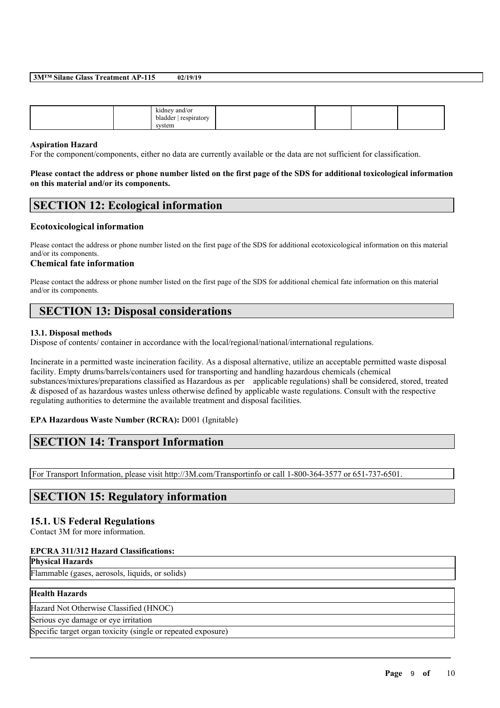#### **3M™ Silane Glass Treatment AP-115 02/19/19**

|  |  | .<br>kidney and/or<br>-------<br>respiratory<br>bladder<br>system |  |  |  |  |
|--|--|-------------------------------------------------------------------|--|--|--|--|
|--|--|-------------------------------------------------------------------|--|--|--|--|

#### **Aspiration Hazard**

For the component/components, either no data are currently available or the data are not sufficient for classification.

#### Please contact the address or phone number listed on the first page of the SDS for additional toxicological information **on this material and/or its components.**

## **SECTION 12: Ecological information**

## **Ecotoxicological information**

Please contact the address or phone number listed on the first page of the SDS for additional ecotoxicological information on this material and/or its components.

#### **Chemical fate information**

Please contact the address or phone number listed on the first page of the SDS for additional chemical fate information on this material and/or its components.

# **SECTION 13: Disposal considerations**

#### **13.1. Disposal methods**

Dispose of contents/ container in accordance with the local/regional/national/international regulations.

Incinerate in a permitted waste incineration facility. As a disposal alternative, utilize an acceptable permitted waste disposal facility. Empty drums/barrels/containers used for transporting and handling hazardous chemicals (chemical substances/mixtures/preparations classified as Hazardous as per applicable regulations) shall be considered, stored, treated & disposed of as hazardous wastes unless otherwise defined by applicable waste regulations. Consult with the respective regulating authorities to determine the available treatment and disposal facilities.

 $\mathcal{L}_\mathcal{L} = \mathcal{L}_\mathcal{L} = \mathcal{L}_\mathcal{L} = \mathcal{L}_\mathcal{L} = \mathcal{L}_\mathcal{L} = \mathcal{L}_\mathcal{L} = \mathcal{L}_\mathcal{L} = \mathcal{L}_\mathcal{L} = \mathcal{L}_\mathcal{L} = \mathcal{L}_\mathcal{L} = \mathcal{L}_\mathcal{L} = \mathcal{L}_\mathcal{L} = \mathcal{L}_\mathcal{L} = \mathcal{L}_\mathcal{L} = \mathcal{L}_\mathcal{L} = \mathcal{L}_\mathcal{L} = \mathcal{L}_\mathcal{L}$ 

## **EPA Hazardous Waste Number (RCRA):** D001 (Ignitable)

## **SECTION 14: Transport Information**

For Transport Information, please visit http://3M.com/Transportinfo or call 1-800-364-3577 or 651-737-6501.

# **SECTION 15: Regulatory information**

## **15.1. US Federal Regulations**

Contact 3M for more information.

#### **EPCRA 311/312 Hazard Classifications:**

#### **Physical Hazards**

Flammable (gases, aerosols, liquids, or solids)

## **Health Hazards**

Hazard Not Otherwise Classified (HNOC)

Serious eye damage or eye irritation

Specific target organ toxicity (single or repeated exposure)